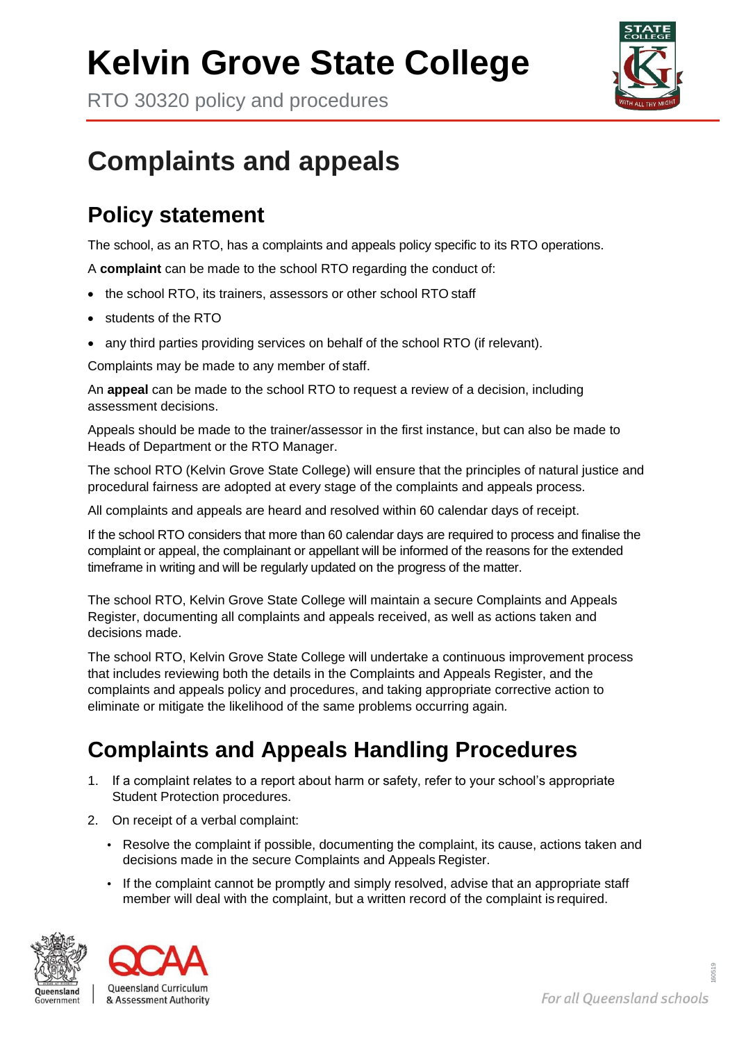## **Kelvin Grove State College**

RTO 30320 policy and procedures



## **Complaints and appeals**

## **Policy statement**

The school, as an RTO, has a complaints and appeals policy specific to its RTO operations.

A **complaint** can be made to the school RTO regarding the conduct of:

- the school RTO, its trainers, assessors or other school RTO staff
- students of the RTO
- any third parties providing services on behalf of the school RTO (if relevant).

Complaints may be made to any member of staff.

An **appeal** can be made to the school RTO to request a review of a decision, including assessment decisions.

Appeals should be made to the trainer/assessor in the first instance, but can also be made to Heads of Department or the RTO Manager.

The school RTO (Kelvin Grove State College) will ensure that the principles of natural justice and procedural fairness are adopted at every stage of the complaints and appeals process.

All complaints and appeals are heard and resolved within 60 calendar days of receipt.

If the school RTO considers that more than 60 calendar days are required to process and finalise the complaint or appeal, the complainant or appellant will be informed of the reasons for the extended timeframe in writing and will be regularly updated on the progress of the matter.

The school RTO, Kelvin Grove State College will maintain a secure Complaints and Appeals Register, documenting all complaints and appeals received, as well as actions taken and decisions made.

The school RTO, Kelvin Grove State College will undertake a continuous improvement process that includes reviewing both the details in the Complaints and Appeals Register, and the complaints and appeals policy and procedures, and taking appropriate corrective action to eliminate or mitigate the likelihood of the same problems occurring again*.*

## **Complaints and Appeals Handling Procedures**

- 1. If a complaint relates to a report about harm or safety, refer to your school's appropriate Student Protection procedures.
- 2. On receipt of a verbal complaint:
	- Resolve the complaint if possible, documenting the complaint, its cause, actions taken and decisions made in the secure Complaints and Appeals Register.
	- If the complaint cannot be promptly and simply resolved, advise that an appropriate staff member will deal with the complaint, but a written record of the complaint is required.



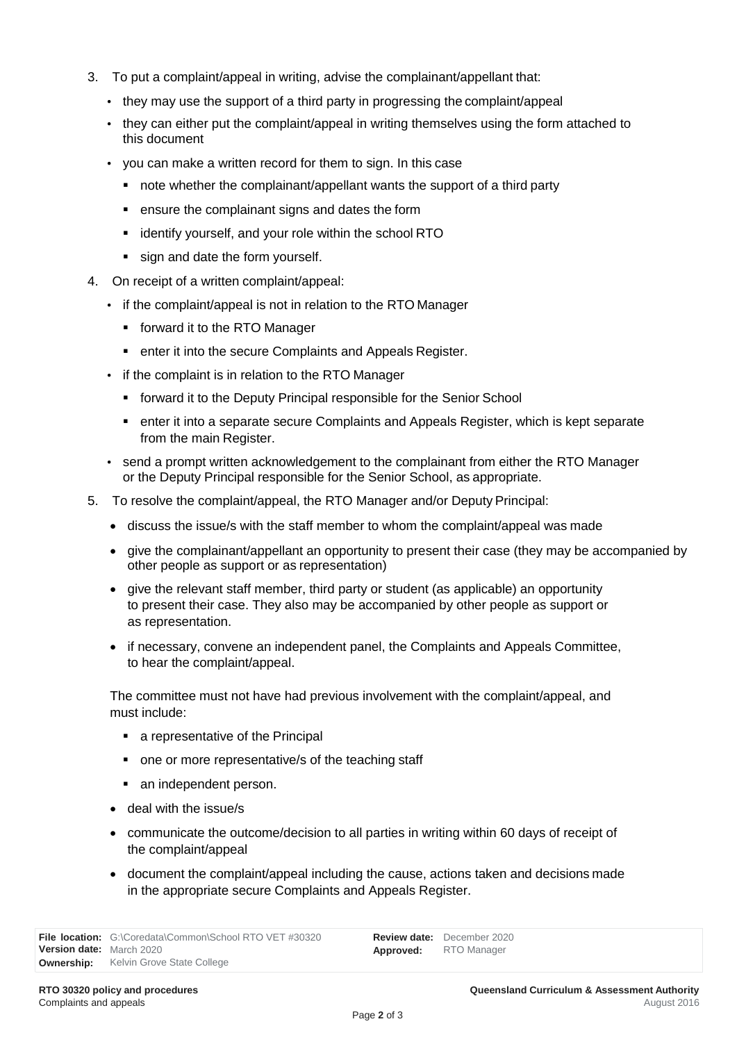- 3. To put a complaint/appeal in writing, advise the complainant/appellant that:
	- they may use the support of a third party in progressing the complaint/appeal
	- they can either put the complaint/appeal in writing themselves using the form attached to this document
	- you can make a written record for them to sign. In this case
		- note whether the complainant/appellant wants the support of a third party
		- ensure the complainant signs and dates the form
		- identify yourself, and your role within the school RTO
		- sign and date the form yourself.
- 4. On receipt of a written complaint/appeal:
	- if the complaint/appeal is not in relation to the RTO Manager
		- **Forward it to the RTO Manager**
		- **EXECUTE:** enter it into the secure Complaints and Appeals Register.
	- if the complaint is in relation to the RTO Manager
		- **forward it to the Deputy Principal responsible for the Senior School**
		- enter it into a separate secure Complaints and Appeals Register, which is kept separate from the main Register.
	- send a prompt written acknowledgement to the complainant from either the RTO Manager or the Deputy Principal responsible for the Senior School, as appropriate.
- 5. To resolve the complaint/appeal, the RTO Manager and/or Deputy Principal:
	- discuss the issue/s with the staff member to whom the complaint/appeal was made
	- give the complainant/appellant an opportunity to present their case (they may be accompanied by other people as support or as representation)
	- give the relevant staff member, third party or student (as applicable) an opportunity to present their case. They also may be accompanied by other people as support or as representation.
	- if necessary, convene an independent panel, the Complaints and Appeals Committee, to hear the complaint/appeal.

The committee must not have had previous involvement with the complaint/appeal, and must include:

- a representative of the Principal
- one or more representative/s of the teaching staff
- an independent person.
- deal with the issue/s
- communicate the outcome/decision to all parties in writing within 60 days of receipt of the complaint/appeal
- document the complaint/appeal including the cause, actions taken and decisions made in the appropriate secure Complaints and Appeals Register.

**Review date:**  December 2020 **Approved:** RTO Manager